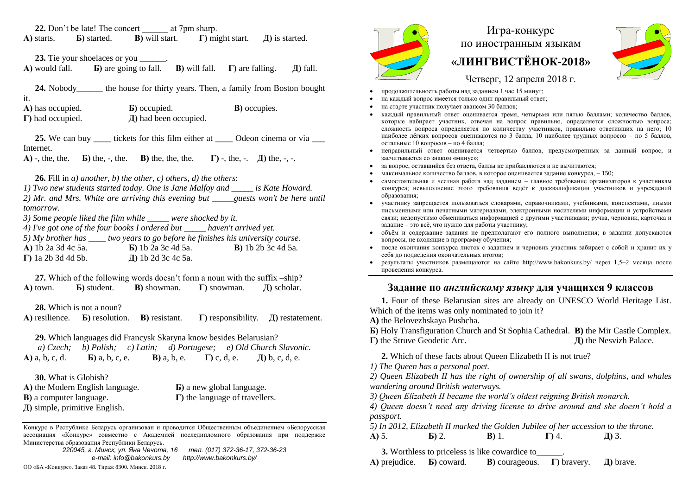**22.** Don't be late! The concert \_\_\_\_\_\_ at 7pm sharp. **А)** starts. **Б)** started. **В)** will start. **Г)** might start. **Д)** is started.

**23.** Tie your shoelaces or you \_\_\_\_\_\_.

**А)** would fall. **Б)** are going to fall. **В)** will fall. **Г)** are falling. **Д)** fall.

24. Nobody the house for thirty years. Then, a family from Boston bought it.

| A) has occupied.         | <b>b</b> ) occupied.       | <b>B</b> ) occupies. |
|--------------------------|----------------------------|----------------------|
| $\Gamma$ ) had occupied. | $\pi$ ) had been occupied. |                      |

**25.** We can buy <u>example tickets for this film either at  $\frac{1}{\sqrt{1-\frac{1}{n}}}$  Odeon cinema or via  $\frac{1}{\sqrt{1-\frac{1}{n}}}$ </u> Internet.

**А)** -, the, the. **Б)** the, -, the. **В)** the, the, the. **Г)** -, the, -. **Д)** the, -, -.

**26.** Fill in *a) another, b) the other, c) others, d) the others*:

*1) Two new students started today. One is Jane Malfoy and \_\_\_\_\_ is Kate Howard. 2) Mr. and Mrs. White are arriving this evening but \_\_\_\_\_guests won't be here until tomorrow.*

*3) Some people liked the film while \_\_\_\_\_ were shocked by it.*

*4) I've got one of the four books I ordered but \_\_\_\_\_ haven't arrived yet.*

*5) My brother has \_\_\_\_ two years to go before he finishes his university course.* **А)** 1b 2a 3d 4c 5a. **Б)** 1b 2a 3c 4d 5a. **В)** 1b 2b 3c 4d 5a. **Г)** 1a 2b 3d 4d 5b. **Д)** 1b 2d 3c 4c 5a.

**27.** Which of the following words doesn't form a noun with the suffix –ship? **А)** town. **Б)** student. **В)** showman. **Г)** snowman. **Д)** scholar.

**28.** Which is not a noun?

**А)** resilience. **Б)** resolution. **В)** resistant. **Г)** responsibility. **Д)** restatement.

**29.** Which languages did Francysk Skaryna know besides Belarusian?

*a) Czech; b) Polish; c) Latin; d) Portugese; e) Old Church Slavonic.* **А)** a, b, c, d. **Б)** a, b, c, e. **В)** a, b, e. **Г)** c, d, e. **Д)** b, c, d, e.

**30.** What is Globish? **А)** the Modern English language. **Б)** a new global language. **В)** a computer language. **Г)** the language of travellers. **Д)** simple, primitive English.

Конкурс в Республике Беларусь организован и проводится Общественным объединением «Белорусская ассоциация «Конкурс» совместно с Академией последипломного образования при поддержке Министерства образования Республики Беларусь.

> *220045, г. Минск, ул. Яна Чечота, 16 тел. (017) 372-36-17, 372-36-23 e-mail: info@bakonkurs.by http://www.bakonkurs.by/*

ОО «БА «Конкурс». Заказ 48. Тираж 8300. Минск. 2018 г.



## Игра-конкурс по иностранным языкам **«ЛИНГВИСТЁНОК-2018»**



Четверг, 12 апреля 2018 г.

- продолжительность работы над заданием 1 час 15 минут;
- на каждый вопрос имеется только один правильный ответ;
- на старте участник получает авансом 30 баллов;
- каждый правильный ответ оценивается тремя, четырьмя или пятью баллами; количество баллов, которые набирает участник, отвечая на вопрос правильно, определяется сложностью вопроса; сложность вопроса определяется по количеству участников, правильно ответивших на него; 10 наиболее лёгких вопросов оцениваются по 3 балла, 10 наиболее трудных вопросов – по 5 баллов, остальные 10 вопросов – по 4 балла;
- неправильный ответ оценивается четвертью баллов, предусмотренных за данный вопрос, и засчитывается со знаком «минус»;
- за вопрос, оставшийся без ответа, баллы не прибавляются и не вычитаются;
- максимальное количество баллов, в которое оценивается задание конкурса, 150;
- самостоятельная и честная работа над заданием главное требование организаторов к участникам конкурса; невыполнение этого требования ведёт к дисквалификации участников и учреждений образования;
- участнику запрещается пользоваться словарями, справочниками, учебниками, конспектами, иными письменными или печатными материалами, электронными носителями информации и устройствами связи; недопустимо обмениваться информацией с другими участниками; ручка, черновик, карточка и задание – это всё, что нужно для работы участнику;
- объём и содержание задания не предполагают его полного выполнения; в задании допускаются вопросы, не входящие в программу обучения;
- после окончания конкурса листок с заданием и черновик участник забирает с собой и хранит их у себя до подведения окончательных итогов;
- результаты участников размещаются на сайте http://www.bakonkurs.by/ через 1,5–2 месяца после проведения конкурса.

## **Задание по** *английскому языку* **для учащихся 9 классов**

**1.** Four of these Belarusian sites are already on UNESCO World Heritage List. Which of the items was only nominated to join it?

**A)** the Belovezhskaya Pushcha.

**Б)** Holy Transfiguration Church and St Sophia Cathedral. **B)** the Mir Castle Complex. **Г)** the Struve Geodetic Arc. **Д)** the Nesvizh Palace.

**2.** Which of these facts about Queen Elizabeth II is not true?

*1) The Queen has a personal poet.*

*2) Queen Elizabeth II has the right of ownership of all swans, dolphins, and whales wandering around British waterways.* 

*3) Queen Elizabeth II became the world's oldest reigning British monarch.* 

*4) Queen doesn't need any driving license to drive around and she doesn't hold a passport.*

*5) In 2012, Elizabeth II marked the Golden Jubilee of her accession to the throne.*  **А)** 5. **Б)** 2. **В)** 1. **Г)** 4. **Д)** 3.

**3.** Worthless to priceless is like cowardice to\_\_\_\_\_\_.

**А)** prejudice. **Б)** coward. **В)** courageous. **Г)** bravery. **Д)** brave.